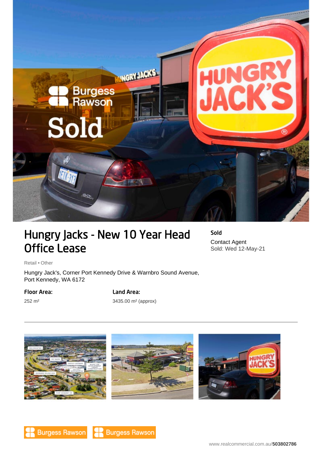

# Hungry Jacks - New 10 Year Head Office Lease

Sold Contact Agent Sold: Wed 12-May-21

Retail • Other

Hungry Jack's, Corner Port Kennedy Drive & Warnbro Sound Avenue, Port Kennedy, WA 6172

### Floor Area:

252 m²

## Land Area:

3435.00 m² (approx)